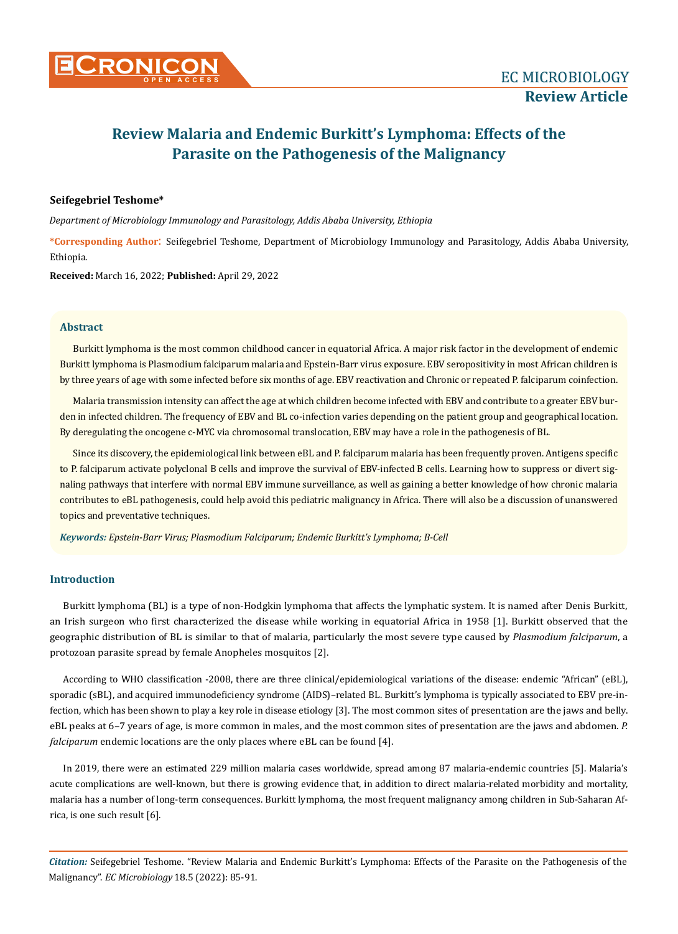# **Review Malaria and Endemic Burkitt's Lymphoma: Effects of the Parasite on the Pathogenesis of the Malignancy**

# **Seifegebriel Teshome\***

*Department of Microbiology Immunology and Parasitology, Addis Ababa University, Ethiopia*

**\*Corresponding Author**: Seifegebriel Teshome, Department of Microbiology Immunology and Parasitology, Addis Ababa University, Ethiopia.

**Received:** March 16, 2022; **Published:** April 29, 2022

## **Abstract**

Burkitt lymphoma is the most common childhood cancer in equatorial Africa. A major risk factor in the development of endemic Burkitt lymphoma is Plasmodium falciparum malaria and Epstein-Barr virus exposure. EBV seropositivity in most African children is by three years of age with some infected before six months of age. EBV reactivation and Chronic or repeated P. falciparum coinfection.

Malaria transmission intensity can affect the age at which children become infected with EBV and contribute to a greater EBV burden in infected children. The frequency of EBV and BL co-infection varies depending on the patient group and geographical location. By deregulating the oncogene c-MYC via chromosomal translocation, EBV may have a role in the pathogenesis of BL.

Since its discovery, the epidemiological link between eBL and P. falciparum malaria has been frequently proven. Antigens specific to P. falciparum activate polyclonal B cells and improve the survival of EBV-infected B cells. Learning how to suppress or divert signaling pathways that interfere with normal EBV immune surveillance, as well as gaining a better knowledge of how chronic malaria contributes to eBL pathogenesis, could help avoid this pediatric malignancy in Africa. There will also be a discussion of unanswered topics and preventative techniques.

*Keywords: Epstein-Barr Virus; Plasmodium Falciparum; Endemic Burkitt's Lymphoma; B-Cell*

## **Introduction**

Burkitt lymphoma (BL) is a type of non-Hodgkin lymphoma that affects the lymphatic system. It is named after Denis Burkitt, an Irish surgeon who first characterized the disease while working in equatorial Africa in 1958 [1]. Burkitt observed that the geographic distribution of BL is similar to that of malaria, particularly the most severe type caused by *Plasmodium falciparum*, a protozoan parasite spread by female Anopheles mosquitos [2].

According to WHO classification -2008, there are three clinical/epidemiological variations of the disease: endemic "African" (eBL), sporadic (sBL), and acquired immunodeficiency syndrome (AIDS)–related BL. Burkitt's lymphoma is typically associated to EBV pre-infection, which has been shown to play a key role in disease etiology [3]. The most common sites of presentation are the jaws and belly. eBL peaks at 6–7 years of age, is more common in males, and the most common sites of presentation are the jaws and abdomen. *P. falciparum* endemic locations are the only places where eBL can be found [4].

In 2019, there were an estimated 229 million malaria cases worldwide, spread among 87 malaria-endemic countries [5]. Malaria's acute complications are well-known, but there is growing evidence that, in addition to direct malaria-related morbidity and mortality, malaria has a number of long-term consequences. Burkitt lymphoma, the most frequent malignancy among children in Sub-Saharan Africa, is one such result [6].

*Citation:* Seifegebriel Teshome. "Review Malaria and Endemic Burkitt's Lymphoma: Effects of the Parasite on the Pathogenesis of the Malignancy". *EC Microbiology* 18.5 (2022): 85-91.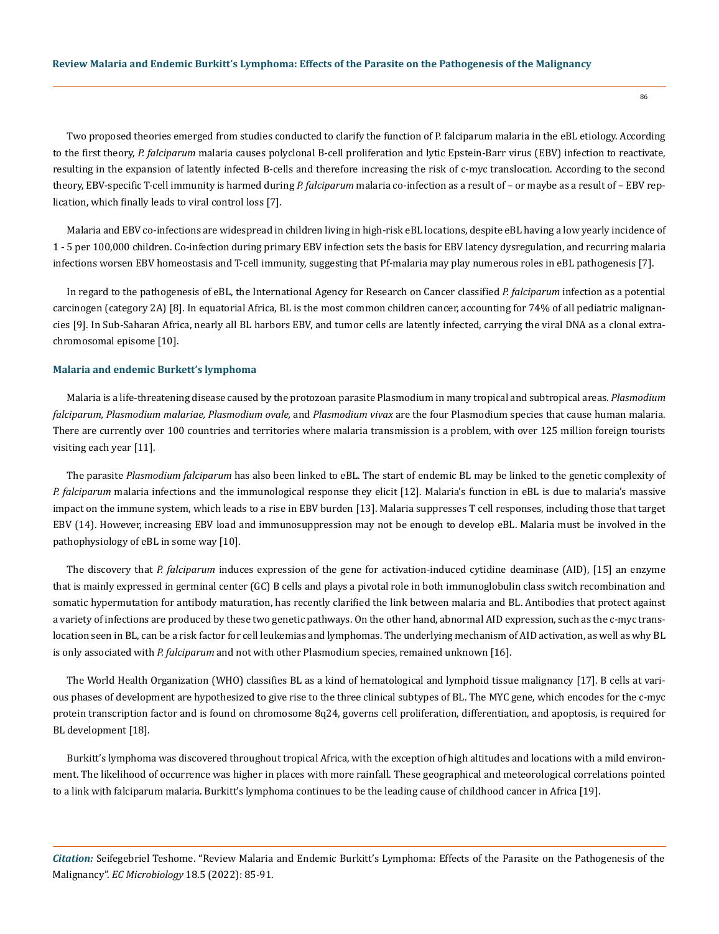Two proposed theories emerged from studies conducted to clarify the function of P. falciparum malaria in the eBL etiology. According to the first theory, *P. falciparum* malaria causes polyclonal B-cell proliferation and lytic Epstein-Barr virus (EBV) infection to reactivate, resulting in the expansion of latently infected B-cells and therefore increasing the risk of c-myc translocation. According to the second theory, EBV-specific T-cell immunity is harmed during *P. falciparum* malaria co-infection as a result of – or maybe as a result of – EBV rep-

lication, which finally leads to viral control loss [7].

Malaria and EBV co-infections are widespread in children living in high-risk eBL locations, despite eBL having a low yearly incidence of 1 - 5 per 100,000 children. Co-infection during primary EBV infection sets the basis for EBV latency dysregulation, and recurring malaria infections worsen EBV homeostasis and T-cell immunity, suggesting that Pf-malaria may play numerous roles in eBL pathogenesis [7].

In regard to the pathogenesis of eBL, the International Agency for Research on Cancer classified *P. falciparum* infection as a potential carcinogen (category 2A) [8]. In equatorial Africa, BL is the most common children cancer, accounting for 74% of all pediatric malignancies [9]. In Sub-Saharan Africa, nearly all BL harbors EBV, and tumor cells are latently infected, carrying the viral DNA as a clonal extrachromosomal episome [10].

#### **Malaria and endemic Burkett's lymphoma**

Malaria is a life-threatening disease caused by the protozoan parasite Plasmodium in many tropical and subtropical areas. *Plasmodium falciparum, Plasmodium malariae, Plasmodium ovale,* and *Plasmodium vivax* are the four Plasmodium species that cause human malaria. There are currently over 100 countries and territories where malaria transmission is a problem, with over 125 million foreign tourists visiting each year [11].

The parasite *Plasmodium falciparum* has also been linked to eBL. The start of endemic BL may be linked to the genetic complexity of *P. falciparum* malaria infections and the immunological response they elicit [12]. Malaria's function in eBL is due to malaria's massive impact on the immune system, which leads to a rise in EBV burden [13]. Malaria suppresses T cell responses, including those that target EBV (14). However, increasing EBV load and immunosuppression may not be enough to develop eBL. Malaria must be involved in the pathophysiology of eBL in some way [10].

The discovery that *P. falciparum* induces expression of the gene for activation-induced cytidine deaminase (AID), [15] an enzyme that is mainly expressed in germinal center (GC) B cells and plays a pivotal role in both immunoglobulin class switch recombination and somatic hypermutation for antibody maturation, has recently clarified the link between malaria and BL. Antibodies that protect against a variety of infections are produced by these two genetic pathways. On the other hand, abnormal AID expression, such as the c-myc translocation seen in BL, can be a risk factor for cell leukemias and lymphomas. The underlying mechanism of AID activation, as well as why BL is only associated with *P. falciparum* and not with other Plasmodium species, remained unknown [16].

The World Health Organization (WHO) classifies BL as a kind of hematological and lymphoid tissue malignancy [17]. B cells at various phases of development are hypothesized to give rise to the three clinical subtypes of BL. The MYC gene, which encodes for the c-myc protein transcription factor and is found on chromosome 8q24, governs cell proliferation, differentiation, and apoptosis, is required for BL development [18].

Burkitt's lymphoma was discovered throughout tropical Africa, with the exception of high altitudes and locations with a mild environment. The likelihood of occurrence was higher in places with more rainfall. These geographical and meteorological correlations pointed to a link with falciparum malaria. Burkitt's lymphoma continues to be the leading cause of childhood cancer in Africa [19].

*Citation:* Seifegebriel Teshome. "Review Malaria and Endemic Burkitt's Lymphoma: Effects of the Parasite on the Pathogenesis of the Malignancy". *EC Microbiology* 18.5 (2022): 85-91.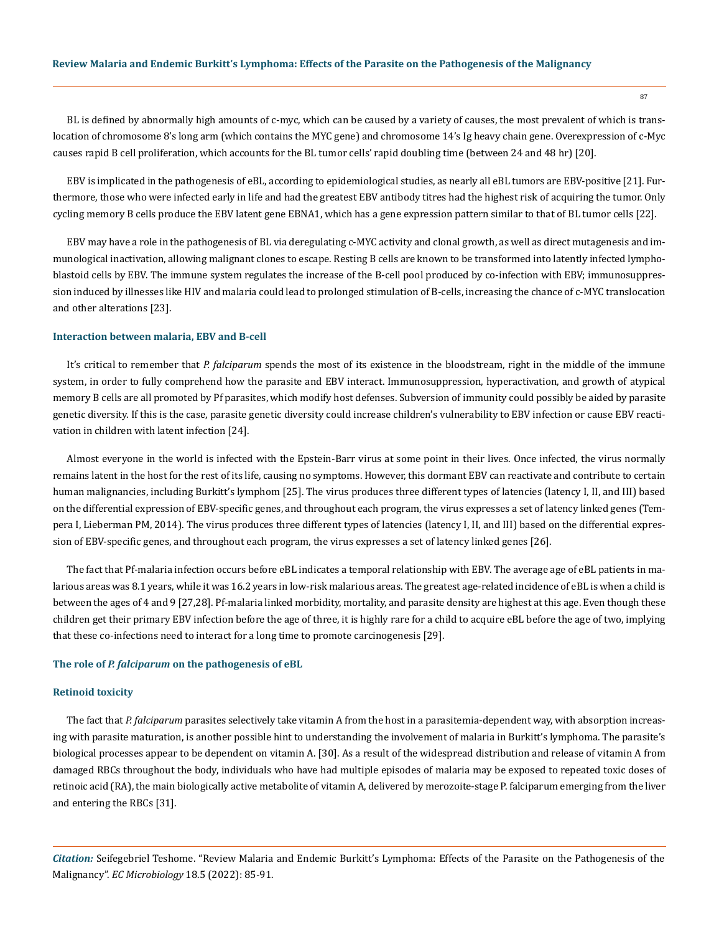BL is defined by abnormally high amounts of c-myc, which can be caused by a variety of causes, the most prevalent of which is translocation of chromosome 8's long arm (which contains the MYC gene) and chromosome 14's Ig heavy chain gene. Overexpression of c-Myc causes rapid B cell proliferation, which accounts for the BL tumor cells' rapid doubling time (between 24 and 48 hr) [20].

EBV is implicated in the pathogenesis of eBL, according to epidemiological studies, as nearly all eBL tumors are EBV-positive [21]. Furthermore, those who were infected early in life and had the greatest EBV antibody titres had the highest risk of acquiring the tumor. Only cycling memory B cells produce the EBV latent gene EBNA1, which has a gene expression pattern similar to that of BL tumor cells [22].

EBV may have a role in the pathogenesis of BL via deregulating c-MYC activity and clonal growth, as well as direct mutagenesis and immunological inactivation, allowing malignant clones to escape. Resting B cells are known to be transformed into latently infected lymphoblastoid cells by EBV. The immune system regulates the increase of the B-cell pool produced by co-infection with EBV; immunosuppression induced by illnesses like HIV and malaria could lead to prolonged stimulation of B-cells, increasing the chance of c-MYC translocation and other alterations [23].

## **Interaction between malaria, EBV and B-cell**

It's critical to remember that *P. falciparum* spends the most of its existence in the bloodstream, right in the middle of the immune system, in order to fully comprehend how the parasite and EBV interact. Immunosuppression, hyperactivation, and growth of atypical memory B cells are all promoted by Pf parasites, which modify host defenses. Subversion of immunity could possibly be aided by parasite genetic diversity. If this is the case, parasite genetic diversity could increase children's vulnerability to EBV infection or cause EBV reactivation in children with latent infection [24].

Almost everyone in the world is infected with the Epstein-Barr virus at some point in their lives. Once infected, the virus normally remains latent in the host for the rest of its life, causing no symptoms. However, this dormant EBV can reactivate and contribute to certain human malignancies, including Burkitt's lymphom [25]. The virus produces three different types of latencies (latency I, II, and III) based on the differential expression of EBV-specific genes, and throughout each program, the virus expresses a set of latency linked genes (Tempera I, Lieberman PM, 2014). The virus produces three different types of latencies (latency I, II, and III) based on the differential expression of EBV-specific genes, and throughout each program, the virus expresses a set of latency linked genes [26].

The fact that Pf-malaria infection occurs before eBL indicates a temporal relationship with EBV. The average age of eBL patients in malarious areas was 8.1 years, while it was 16.2 years in low-risk malarious areas. The greatest age-related incidence of eBL is when a child is between the ages of 4 and 9 [27,28]. Pf-malaria linked morbidity, mortality, and parasite density are highest at this age. Even though these children get their primary EBV infection before the age of three, it is highly rare for a child to acquire eBL before the age of two, implying that these co-infections need to interact for a long time to promote carcinogenesis [29].

## **The role of** *P. falciparum* **on the pathogenesis of eBL**

#### **Retinoid toxicity**

The fact that *P. falciparum* parasites selectively take vitamin A from the host in a parasitemia-dependent way, with absorption increasing with parasite maturation, is another possible hint to understanding the involvement of malaria in Burkitt's lymphoma. The parasite's biological processes appear to be dependent on vitamin A. [30]. As a result of the widespread distribution and release of vitamin A from damaged RBCs throughout the body, individuals who have had multiple episodes of malaria may be exposed to repeated toxic doses of retinoic acid (RA), the main biologically active metabolite of vitamin A, delivered by merozoite-stage P. falciparum emerging from the liver and entering the RBCs [31].

*Citation:* Seifegebriel Teshome. "Review Malaria and Endemic Burkitt's Lymphoma: Effects of the Parasite on the Pathogenesis of the Malignancy". *EC Microbiology* 18.5 (2022): 85-91.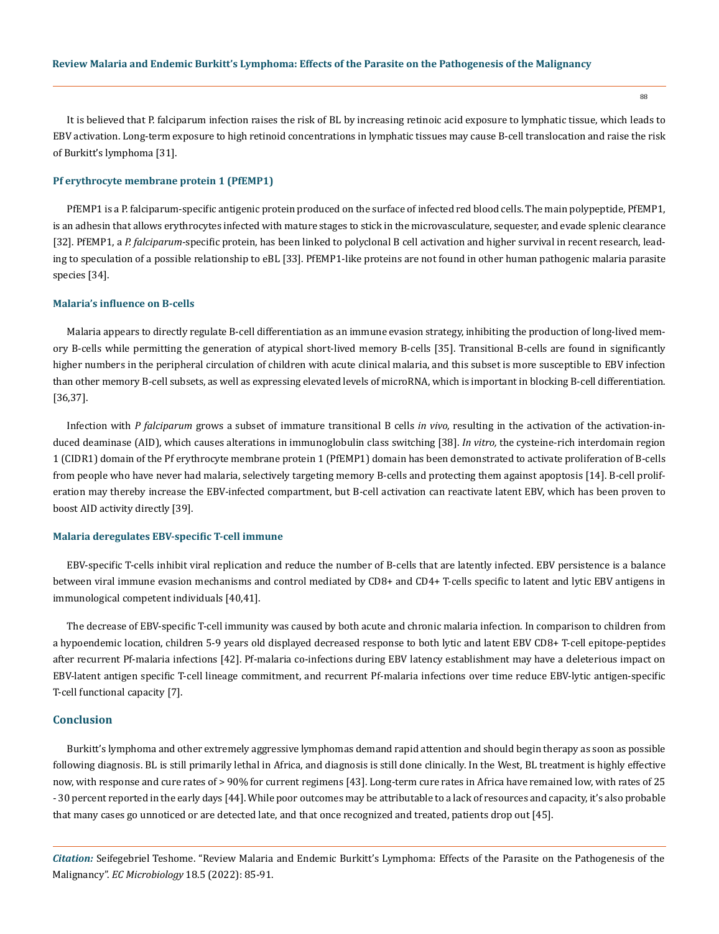It is believed that P. falciparum infection raises the risk of BL by increasing retinoic acid exposure to lymphatic tissue, which leads to EBV activation. Long-term exposure to high retinoid concentrations in lymphatic tissues may cause B-cell translocation and raise the risk of Burkitt's lymphoma [31].

# **Pf erythrocyte membrane protein 1 (PfEMP1)**

PfEMP1 is a P. falciparum-specific antigenic protein produced on the surface of infected red blood cells. The main polypeptide, PfEMP1, is an adhesin that allows erythrocytes infected with mature stages to stick in the microvasculature, sequester, and evade splenic clearance [32]. PfEMP1, a *P. falciparum*-specific protein, has been linked to polyclonal B cell activation and higher survival in recent research, leading to speculation of a possible relationship to eBL [33]. PfEMP1-like proteins are not found in other human pathogenic malaria parasite species [34].

# **Malaria's influence on B-cells**

Malaria appears to directly regulate B-cell differentiation as an immune evasion strategy, inhibiting the production of long-lived memory B-cells while permitting the generation of atypical short-lived memory B-cells [35]. Transitional B-cells are found in significantly higher numbers in the peripheral circulation of children with acute clinical malaria, and this subset is more susceptible to EBV infection than other memory B-cell subsets, as well as expressing elevated levels of microRNA, which is important in blocking B-cell differentiation. [36,37].

Infection with *P falciparum* grows a subset of immature transitional B cells *in vivo,* resulting in the activation of the activation-induced deaminase (AID), which causes alterations in immunoglobulin class switching [38]. *In vitro,* the cysteine-rich interdomain region 1 (CIDR1) domain of the Pf erythrocyte membrane protein 1 (PfEMP1) domain has been demonstrated to activate proliferation of B-cells from people who have never had malaria, selectively targeting memory B-cells and protecting them against apoptosis [14]. B-cell proliferation may thereby increase the EBV-infected compartment, but B-cell activation can reactivate latent EBV, which has been proven to boost AID activity directly [39].

## **Malaria deregulates EBV-specific T-cell immune**

EBV-specific T-cells inhibit viral replication and reduce the number of B-cells that are latently infected. EBV persistence is a balance between viral immune evasion mechanisms and control mediated by CD8+ and CD4+ T-cells specific to latent and lytic EBV antigens in immunological competent individuals [40,41].

The decrease of EBV-specific T-cell immunity was caused by both acute and chronic malaria infection. In comparison to children from a hypoendemic location, children 5-9 years old displayed decreased response to both lytic and latent EBV CD8+ T-cell epitope-peptides after recurrent Pf-malaria infections [42]. Pf-malaria co-infections during EBV latency establishment may have a deleterious impact on EBV-latent antigen specific T-cell lineage commitment, and recurrent Pf-malaria infections over time reduce EBV-lytic antigen-specific T-cell functional capacity [7].

#### **Conclusion**

Burkitt's lymphoma and other extremely aggressive lymphomas demand rapid attention and should begin therapy as soon as possible following diagnosis. BL is still primarily lethal in Africa, and diagnosis is still done clinically. In the West, BL treatment is highly effective now, with response and cure rates of > 90% for current regimens [43]. Long-term cure rates in Africa have remained low, with rates of 25 - 30 percent reported in the early days [44]. While poor outcomes may be attributable to a lack of resources and capacity, it's also probable that many cases go unnoticed or are detected late, and that once recognized and treated, patients drop out [45].

*Citation:* Seifegebriel Teshome. "Review Malaria and Endemic Burkitt's Lymphoma: Effects of the Parasite on the Pathogenesis of the Malignancy". *EC Microbiology* 18.5 (2022): 85-91.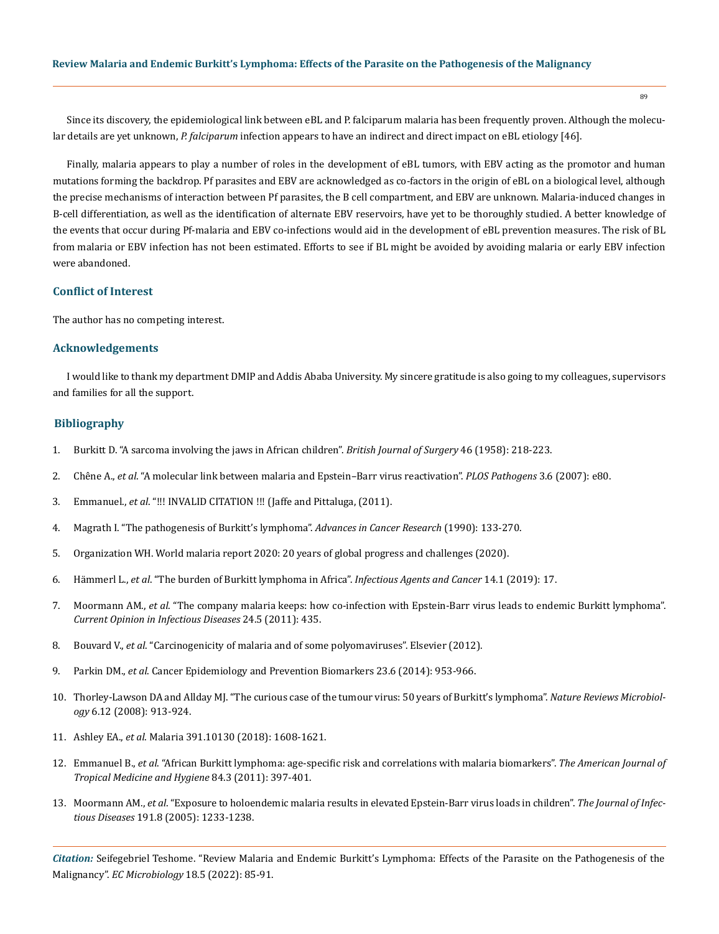Since its discovery, the epidemiological link between eBL and P. falciparum malaria has been frequently proven. Although the molecular details are yet unknown, *P. falciparum* infection appears to have an indirect and direct impact on eBL etiology [46].

Finally, malaria appears to play a number of roles in the development of eBL tumors, with EBV acting as the promotor and human mutations forming the backdrop. Pf parasites and EBV are acknowledged as co-factors in the origin of eBL on a biological level, although the precise mechanisms of interaction between Pf parasites, the B cell compartment, and EBV are unknown. Malaria-induced changes in B-cell differentiation, as well as the identification of alternate EBV reservoirs, have yet to be thoroughly studied. A better knowledge of the events that occur during Pf-malaria and EBV co-infections would aid in the development of eBL prevention measures. The risk of BL from malaria or EBV infection has not been estimated. Efforts to see if BL might be avoided by avoiding malaria or early EBV infection were abandoned.

# **Conflict of Interest**

The author has no competing interest.

## **Acknowledgements**

I would like to thank my department DMIP and Addis Ababa University. My sincere gratitude is also going to my colleagues, supervisors and families for all the support.

## **Bibliography**

- 1. [Burkitt D. "A sarcoma involving the jaws in African children".](https://pubmed.ncbi.nlm.nih.gov/13628987/) *British Journal of Surgery* 46 (1958): 218-223.
- 2. Chêne A., *et al*[. "A molecular link between malaria and Epstein–Barr virus reactivation".](https://www.ncbi.nlm.nih.gov/pmc/articles/PMC1891325/) *PLOS Pathogens* 3.6 (2007): e80.
- 3. Emmanuel., *et al*. "!!! INVALID CITATION !!! (Jaffe and Pittaluga, (2011).
- 4. [Magrath I. "The pathogenesis of Burkitt's lymphoma".](https://pubmed.ncbi.nlm.nih.gov/2166998/) *Advances in Cancer Research* (1990): 133-270.
- 5. [Organization WH. World malaria report 2020: 20 years of global progress and challenges \(2020\).](https://www.who.int/publications-detail-redirect/9789240015791)
- 6. Hämmerl L., *et al*[. "The burden of Burkitt lymphoma in Africa".](https://infectagentscancer.biomedcentral.com/articles/10.1186/s13027-019-0236-7) *Infectious Agents and Cancer* 14.1 (2019): 17.
- 7. Moormann AM., *et al*[. "The company malaria keeps: how co-infection with Epstein-Barr virus leads to endemic Burkitt lymphoma".](https://www.ncbi.nlm.nih.gov/pmc/articles/PMC3265160/)  *[Current Opinion in Infectious Diseases](https://www.ncbi.nlm.nih.gov/pmc/articles/PMC3265160/)* 24.5 (2011): 435.
- 8. Bouvard V., *et al*[. "Carcinogenicity of malaria and of some polyomaviruses". Elsevier \(2012\).](https://pubmed.ncbi.nlm.nih.gov/22577663/)
- 9. Parkin DM., *et al*. Cancer Epidemiology and Prevention Biomarkers 23.6 (2014): 953-966.
- 10. [Thorley-Lawson DA and Allday MJ. "The curious case of the tumour virus: 50 years of Burkitt's lymphoma".](https://pubmed.ncbi.nlm.nih.gov/19008891/) *Nature Reviews Microbiology* [6.12 \(2008\): 913-924.](https://pubmed.ncbi.nlm.nih.gov/19008891/)
- 11. Ashley EA., *et al*. Malaria 391.10130 (2018): 1608-1621.
- 12. Emmanuel B., *et al*[. "African Burkitt lymphoma: age-specific risk and correlations with malaria biomarkers".](https://www.ncbi.nlm.nih.gov/pmc/articles/PMC3042814/) *The American Journal of [Tropical Medicine and Hygiene](https://www.ncbi.nlm.nih.gov/pmc/articles/PMC3042814/)* 84.3 (2011): 397-401.
- 13. Moormann AM., *et al*[. "Exposure to holoendemic malaria results in elevated Epstein-Barr virus loads in children".](https://www.researchgate.net/publication/7959323_Exposure_to_Holoendemic_Malaria_Results_in_Elevated_Epstein-Barr_Virus_Loads_in_Children) *The Journal of Infectious Diseases* [191.8 \(2005\): 1233-1238.](https://www.researchgate.net/publication/7959323_Exposure_to_Holoendemic_Malaria_Results_in_Elevated_Epstein-Barr_Virus_Loads_in_Children)

*Citation:* Seifegebriel Teshome. "Review Malaria and Endemic Burkitt's Lymphoma: Effects of the Parasite on the Pathogenesis of the Malignancy". *EC Microbiology* 18.5 (2022): 85-91.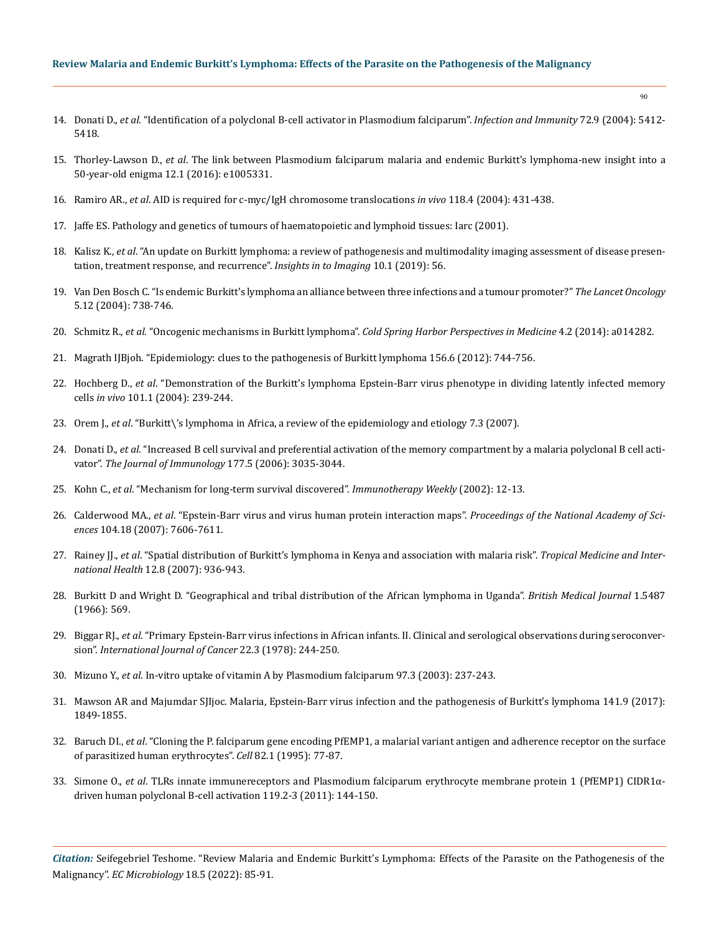# **Review Malaria and Endemic Burkitt's Lymphoma: Effects of the Parasite on the Pathogenesis of the Malignancy**

- 14. Donati D., *et al*[. "Identification of a polyclonal B-cell activator in Plasmodium falciparum".](https://pubmed.ncbi.nlm.nih.gov/15322039/) *Infection and Immunity* 72.9 (2004): 5412- [5418.](https://pubmed.ncbi.nlm.nih.gov/15322039/)
- 15. Thorley-Lawson D., *et al*[. The link between Plasmodium falciparum malaria and endemic Burkitt's lymphoma-new insight into a](https://www.ncbi.nlm.nih.gov/pmc/articles/PMC4721646/)  [50-year-old enigma 12.1 \(2016\): e1005331.](https://www.ncbi.nlm.nih.gov/pmc/articles/PMC4721646/)
- 16. Ramiro AR., *et al*[. AID is required for c-myc/IgH chromosome translocations](https://pubmed.ncbi.nlm.nih.gov/15315756/) *in vivo* 118.4 (2004): 431-438.
- 17. Jaffe ES. Pathology and genetics of tumours of haematopoietic and lymphoid tissues: Iarc (2001).
- 18. Kalisz K., *et al*[. "An update on Burkitt lymphoma: a review of pathogenesis and multimodality imaging assessment of disease presen](https://www.ncbi.nlm.nih.gov/pmc/articles/PMC6529494/)[tation, treatment response, and recurrence".](https://www.ncbi.nlm.nih.gov/pmc/articles/PMC6529494/) *Insights in to Imaging* 10.1 (2019): 56.
- 19. [Van Den Bosch C. "Is endemic Burkitt's lymphoma an alliance between three infections and a tumour promoter?"](https://pubmed.ncbi.nlm.nih.gov/15581545/) *The Lancet Oncology* [5.12 \(2004\): 738-746.](https://pubmed.ncbi.nlm.nih.gov/15581545/)
- 20. Schmitz R., *et al*. "Oncogenic mechanisms in Burkitt lymphoma". *[Cold Spring Harbor Perspectives in Medicine](https://www.ncbi.nlm.nih.gov/pmc/articles/PMC3904095/)* 4.2 (2014): a014282.
- 21. [Magrath IJBjoh. "Epidemiology: clues to the pathogenesis of Burkitt lymphoma 156.6 \(2012\): 744-756.](https://pubmed.ncbi.nlm.nih.gov/22260300/)
- 22. Hochberg D., *et al*[. "Demonstration of the Burkitt's lymphoma Epstein-Barr virus phenotype in dividing latently infected memory](https://pubmed.ncbi.nlm.nih.gov/14688409/)  cells *in vivo* [101.1 \(2004\): 239-244.](https://pubmed.ncbi.nlm.nih.gov/14688409/)
- 23. Orem J., *et al*[. "Burkitt\'s lymphoma in Africa, a review of the epidemiology and etiology 7.3 \(2007\).](https://pubmed.ncbi.nlm.nih.gov/18052871/)
- 24. Donati D., *et al*[. "Increased B cell survival and preferential activation of the memory compartment by a malaria polyclonal B cell acti](https://pubmed.ncbi.nlm.nih.gov/16920940/)vator". *[The Journal of Immunology](https://pubmed.ncbi.nlm.nih.gov/16920940/)* 177.5 (2006): 3035-3044.
- 25. Kohn C., *et al*. "Mechanism for long-term survival discovered". *Immunotherapy Weekly* (2002): 12-13.
- 26. Calderwood MA., *et al*[. "Epstein-Barr virus and virus human protein interaction maps".](https://pubmed.ncbi.nlm.nih.gov/17446270/) *Proceedings of the National Academy of Sciences* [104.18 \(2007\): 7606-7611.](https://pubmed.ncbi.nlm.nih.gov/17446270/)
- 27. Rainey JJ., *et al*[. "Spatial distribution of Burkitt's lymphoma in Kenya and association with malaria risk".](https://onlinelibrary.wiley.com/doi/10.1111/j.1365-3156.2007.01875.x) *Tropical Medicine and International Health* [12.8 \(2007\): 936-943.](https://onlinelibrary.wiley.com/doi/10.1111/j.1365-3156.2007.01875.x)
- 28. [Burkitt D and Wright D. "Geographical and tribal distribution of the African lymphoma in Uganda".](https://www.ncbi.nlm.nih.gov/pmc/articles/PMC1843867/) *British Medical Journal* 1.5487 [\(1966\): 569.](https://www.ncbi.nlm.nih.gov/pmc/articles/PMC1843867/)
- 29. Biggar RJ., *et al*[. "Primary Epstein-Barr virus infections in African infants. II. Clinical and serological observations during seroconver](https://pubmed.ncbi.nlm.nih.gov/212370/)sion". *[International Journal of Cancer](https://pubmed.ncbi.nlm.nih.gov/212370/)* 22.3 (1978): 244-250.
- 30. Mizuno Y., *et al*[. In-vitro uptake of vitamin A by Plasmodium falciparum 97.3 \(2003\): 237-243.](https://pubmed.ncbi.nlm.nih.gov/12803855/)
- 31. [Mawson AR and Majumdar SJIjoc. Malaria, Epstein-Barr virus infection and the pathogenesis of Burkitt's lymphoma 141.9 \(2017\):](https://pubmed.ncbi.nlm.nih.gov/28707393/)  [1849-1855.](https://pubmed.ncbi.nlm.nih.gov/28707393/)
- 32. Baruch DI., *et al*[. "Cloning the P. falciparum gene encoding PfEMP1, a malarial variant antigen and adherence receptor on the surface](https://pubmed.ncbi.nlm.nih.gov/7541722/)  [of parasitized human erythrocytes".](https://pubmed.ncbi.nlm.nih.gov/7541722/) *Cell* 82.1 (1995): 77-87.
- 33. Simone O., *et al*[. TLRs innate immunereceptors and Plasmodium falciparum erythrocyte membrane protein 1 \(PfEMP1\) CIDR1α](https://pubmed.ncbi.nlm.nih.gov/21620790/)[driven human polyclonal B-cell activation 119.2-3 \(2011\): 144-150.](https://pubmed.ncbi.nlm.nih.gov/21620790/)

*Citation:* Seifegebriel Teshome. "Review Malaria and Endemic Burkitt's Lymphoma: Effects of the Parasite on the Pathogenesis of the Malignancy". *EC Microbiology* 18.5 (2022): 85-91.